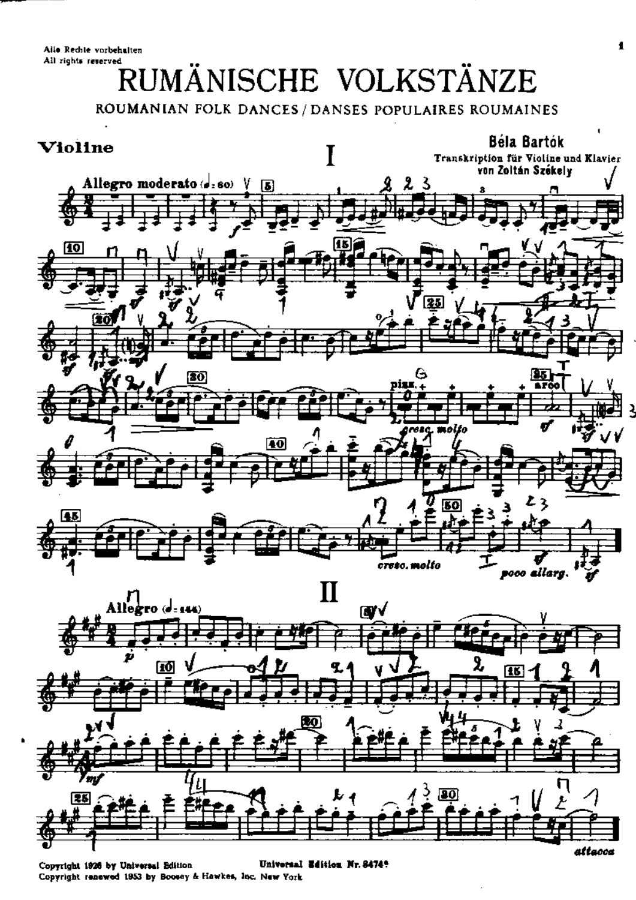## RUMÄNISCHE VOLKSTÄNZE

ROUMANIAN FOLK DANCES / DANSES POPULAIRES ROUMAINES



Universal Edition Nr. 8474\* Copyright 1926 by Universal Edition Copyright renewed 1953 by Boosey & Hawkes, Inc. New York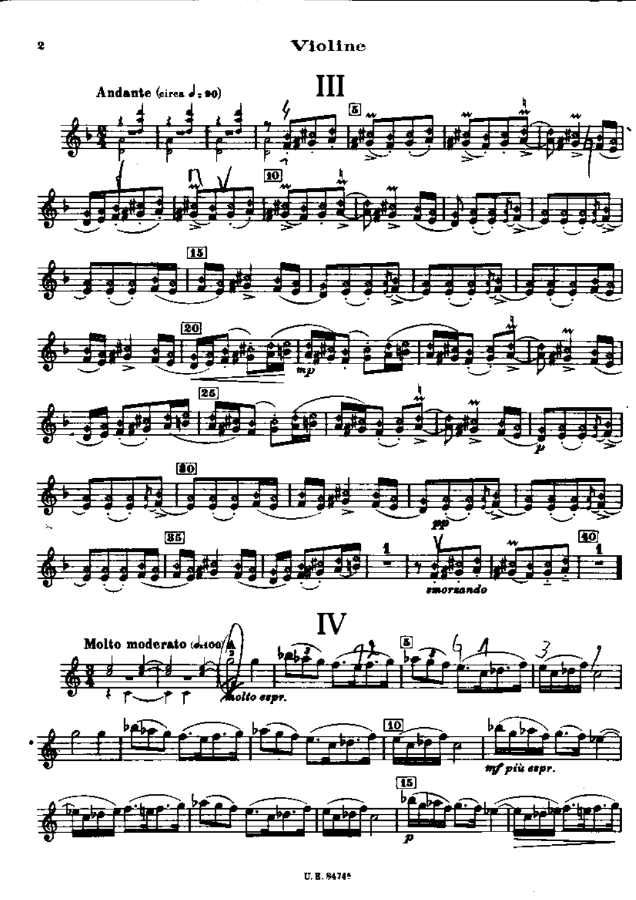

 $\overline{\mathbf{z}}$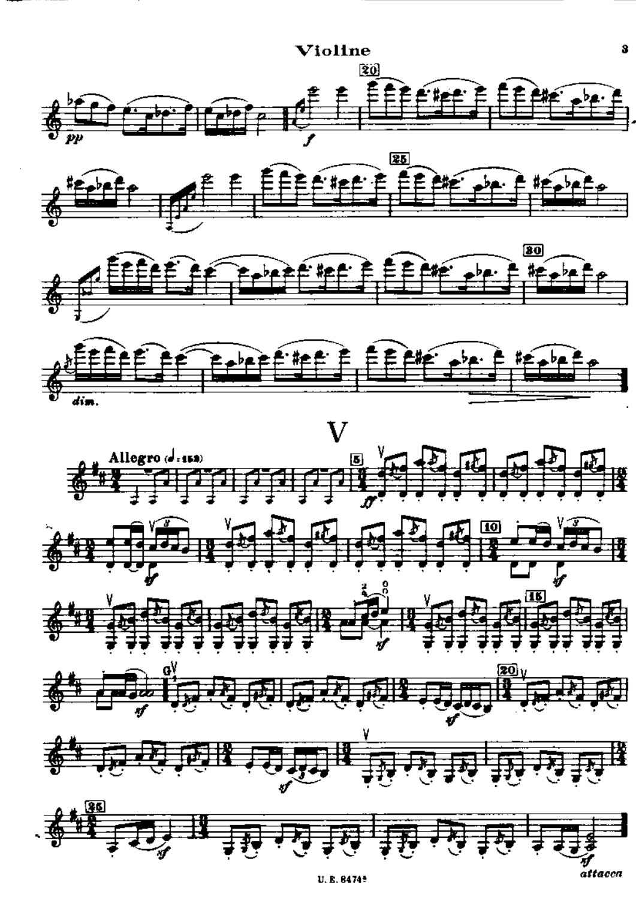















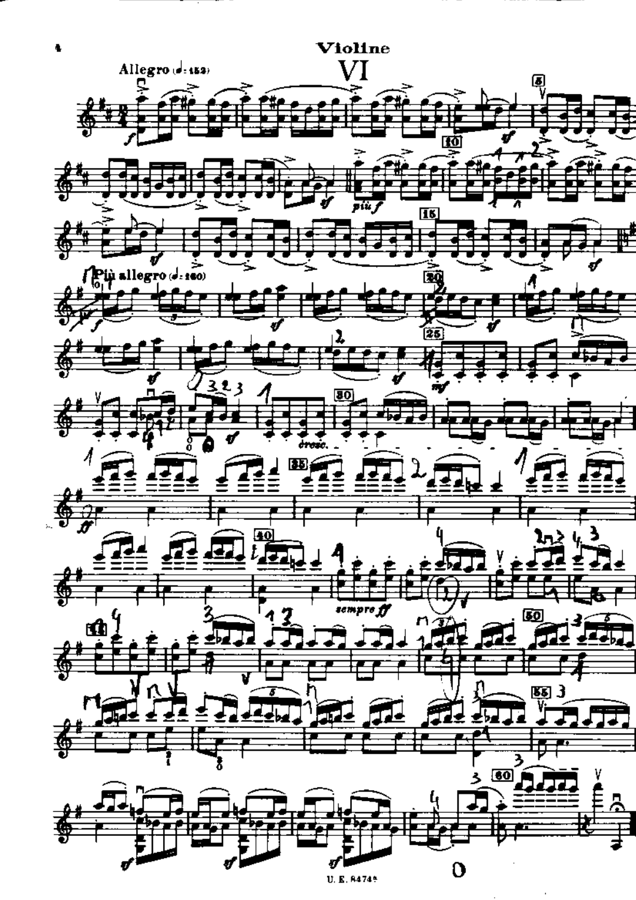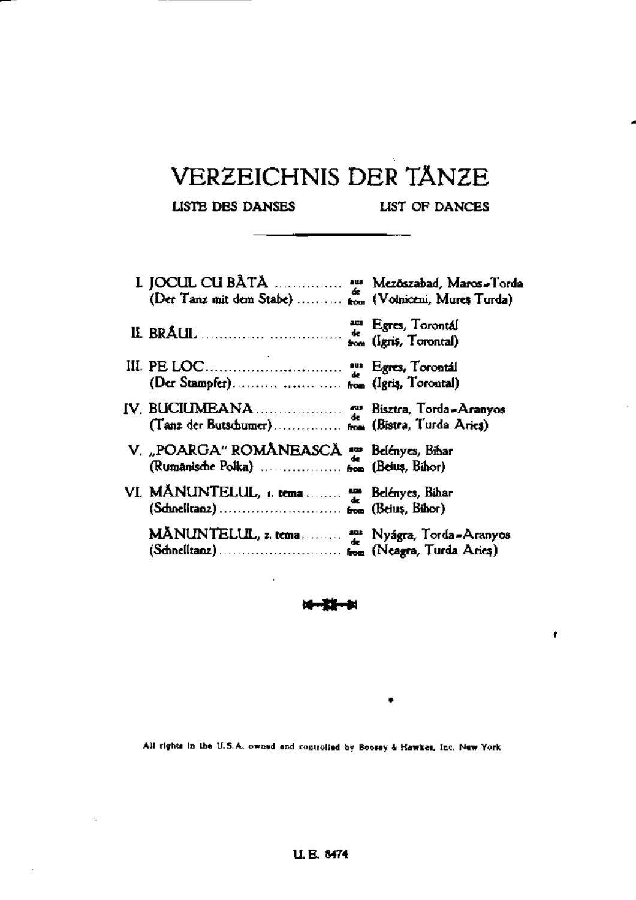## **VERZEICHNIS DER TÄNZE**

LISTE DES DANSES

LIST OF DANCES

Ł

| II. BRÁUL <b>(1998)</b> <sup>3021</sup> Egres, Torontál de (1971) |  |
|-------------------------------------------------------------------|--|
|                                                                   |  |
|                                                                   |  |
|                                                                   |  |
| VI. MÄNUNTELUL, 1. tema  aus Belényes, Bihar                      |  |
| MANUNTELUL, z. tema aus Nyágra, Torda-Aranyos                     |  |

All rights in the U.S.A. owned and controlled by Boosey & Hawkes, Inc. New York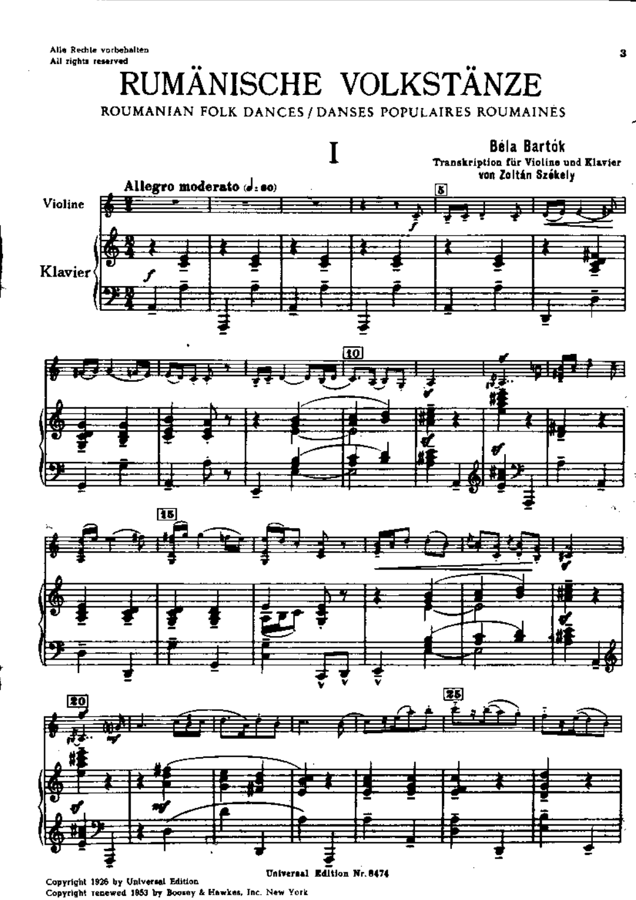## RUMÄNISCHE VOLKSTÄNZE

ROUMANIAN FOLK DANCES / DANSES POPULAIRES ROUMAINES









Copyright 1926 by Universal Edition Copyright renewed 1953 by Boosey & Hawkes, Inc. New York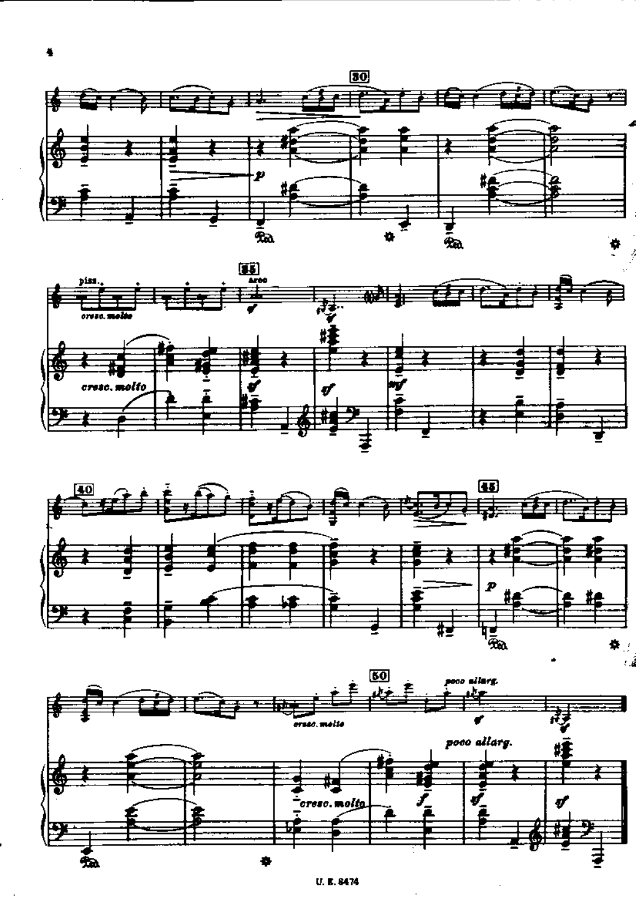





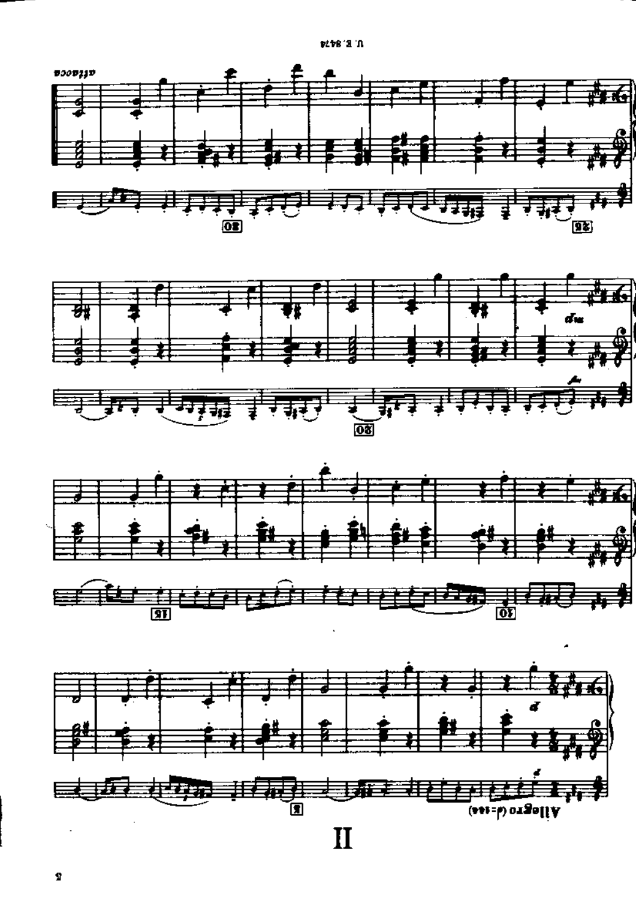02 YE STAT







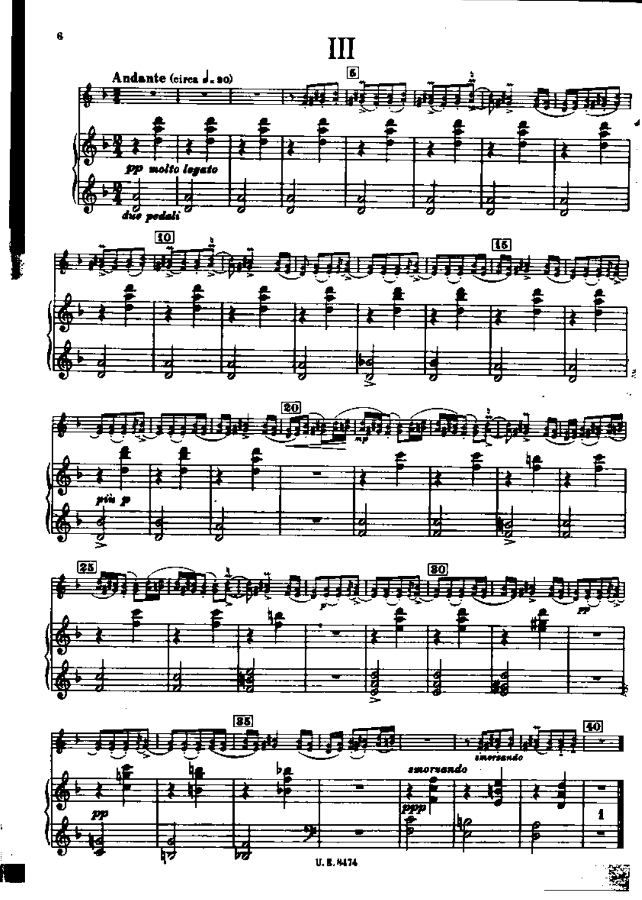









 $\ddot{\mathbf{6}}$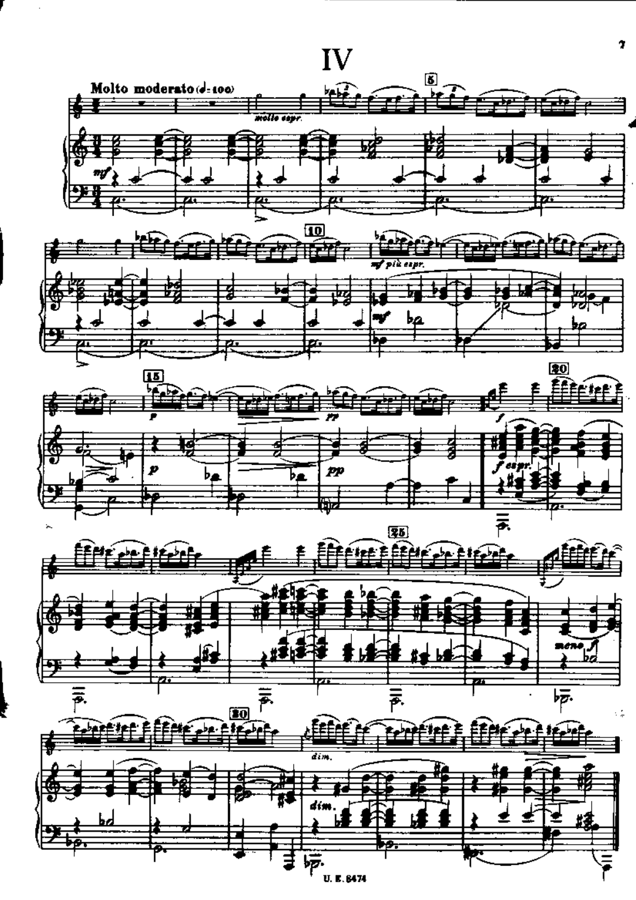

 $\boldsymbol{\tau}$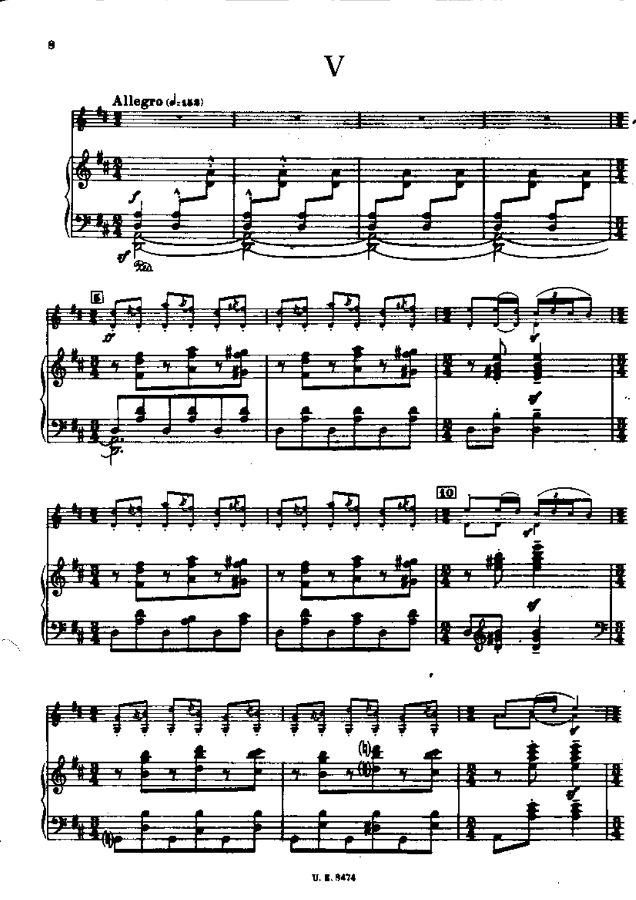$\overline{\text{V}}$ 







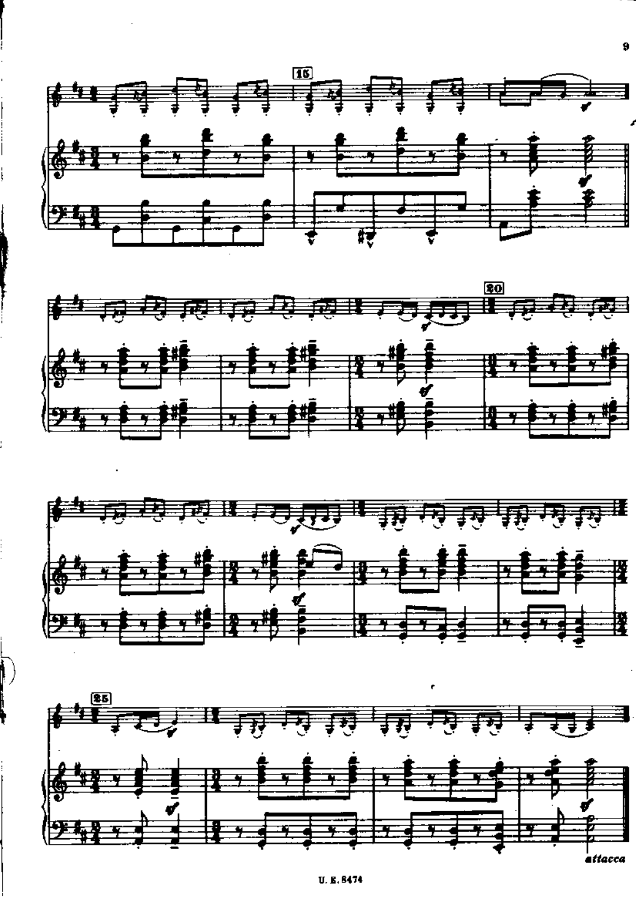





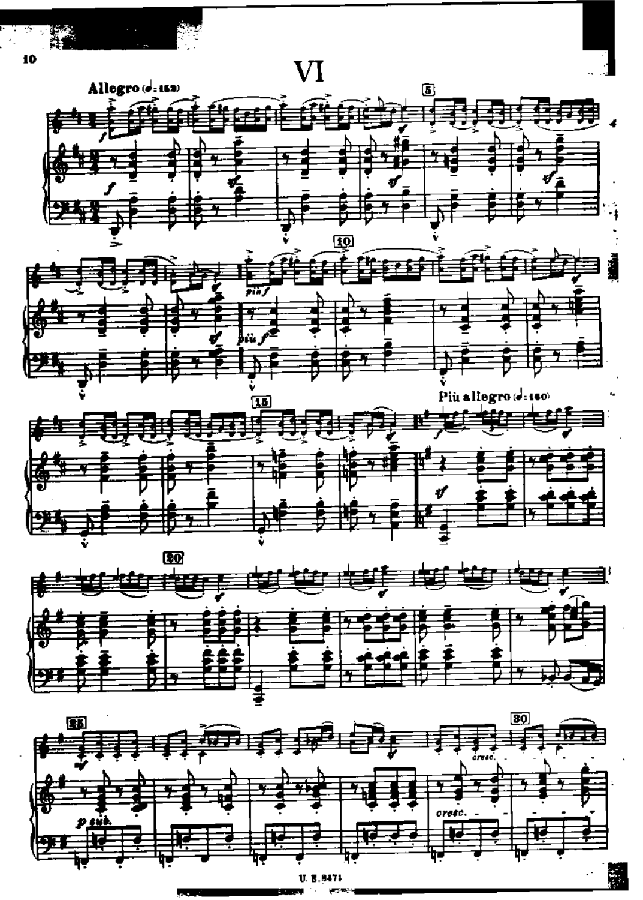





U. B.9471